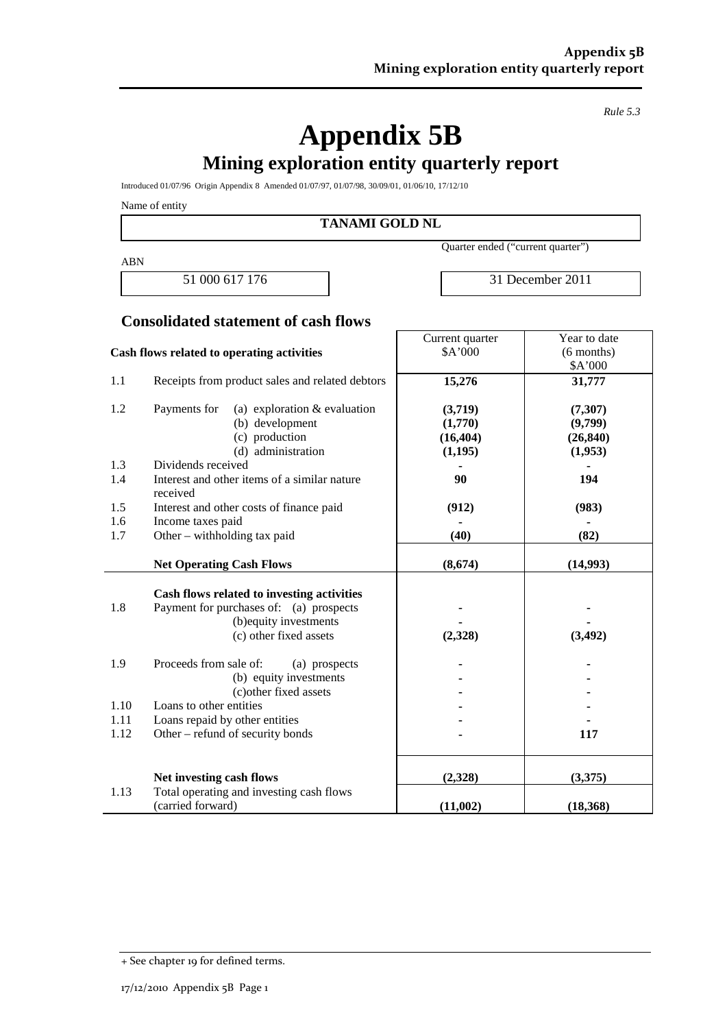*Rule 5.3*

# **Appendix 5B Mining exploration entity quarterly report**

Introduced 01/07/96 Origin Appendix 8 Amended 01/07/97, 01/07/98, 30/09/01, 01/06/10, 17/12/10

Name of entity

**TANAMI GOLD NL**

ABN

Quarter ended ("current quarter")

Current quarter

51 000 617 176 31 December 2011

Year to date

#### **Consolidated statement of cash flows**

| Cash flows related to operating activities |                                                               | \$A'000   | $(6$ months)      |  |
|--------------------------------------------|---------------------------------------------------------------|-----------|-------------------|--|
| 1.1                                        | Receipts from product sales and related debtors               | 15,276    | \$A'000<br>31,777 |  |
|                                            |                                                               |           |                   |  |
| 1.2                                        | Payments for<br>(a) exploration $&$ evaluation                | (3,719)   | (7,307)           |  |
|                                            | (b) development                                               | (1,770)   | (9,799)           |  |
|                                            | (c) production                                                | (16, 404) | (26, 840)         |  |
|                                            | (d) administration                                            | (1,195)   | (1,953)           |  |
| 1.3                                        | Dividends received                                            |           |                   |  |
| 1.4                                        | Interest and other items of a similar nature<br>received      | 90        | 194               |  |
| 1.5                                        | Interest and other costs of finance paid                      | (912)     | (983)             |  |
| 1.6                                        | Income taxes paid                                             |           |                   |  |
| 1.7                                        | Other - withholding tax paid                                  | (40)      | (82)              |  |
|                                            | <b>Net Operating Cash Flows</b>                               | (8,674)   | (14,993)          |  |
|                                            |                                                               |           |                   |  |
|                                            | Cash flows related to investing activities                    |           |                   |  |
| 1.8                                        | Payment for purchases of: (a) prospects                       |           |                   |  |
|                                            | (b) equity investments                                        |           |                   |  |
|                                            | (c) other fixed assets                                        | (2,328)   | (3, 492)          |  |
| 1.9                                        | Proceeds from sale of:<br>(a) prospects                       |           |                   |  |
|                                            | (b) equity investments                                        |           |                   |  |
|                                            | (c) other fixed assets                                        |           |                   |  |
| 1.10                                       | Loans to other entities                                       |           |                   |  |
| 1.11                                       | Loans repaid by other entities                                |           |                   |  |
| 1.12                                       | Other – refund of security bonds                              |           | 117               |  |
|                                            |                                                               |           |                   |  |
|                                            | Net investing cash flows                                      | (2,328)   | (3,375)           |  |
| 1.13                                       | Total operating and investing cash flows<br>(carried forward) |           |                   |  |
|                                            |                                                               | (11,002)  | (18, 368)         |  |

<sup>+</sup> See chapter 19 for defined terms.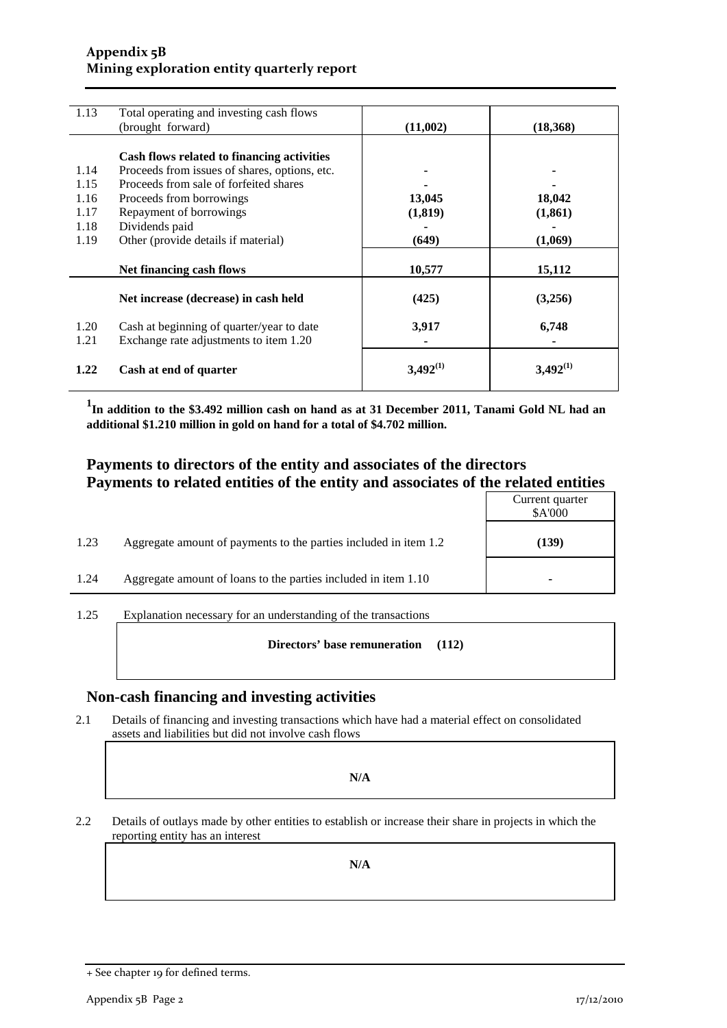#### **Appendix 5B Mining exploration entity quarterly report**

| 1.13 | Total operating and investing cash flows      |               |               |
|------|-----------------------------------------------|---------------|---------------|
|      | (brought forward)                             | (11,002)      | (18,368)      |
|      |                                               |               |               |
|      |                                               |               |               |
|      | Cash flows related to financing activities    |               |               |
| 1.14 | Proceeds from issues of shares, options, etc. |               |               |
| 1.15 | Proceeds from sale of forfeited shares        |               |               |
| 1.16 | Proceeds from borrowings                      | 13,045        | 18,042        |
| 1.17 | Repayment of borrowings                       | (1, 819)      | (1, 861)      |
| 1.18 | Dividends paid                                |               |               |
| 1.19 | Other (provide details if material)           | (649)         | (1,069)       |
|      |                                               |               |               |
|      | Net financing cash flows                      | 10,577        | 15,112        |
|      |                                               |               |               |
|      |                                               |               |               |
|      | Net increase (decrease) in cash held          | (425)         | (3,256)       |
|      |                                               |               |               |
| 1.20 | Cash at beginning of quarter/year to date     | 3,917         | 6,748         |
| 1.21 | Exchange rate adjustments to item 1.20        |               |               |
|      |                                               |               |               |
|      |                                               |               |               |
| 1.22 | Cash at end of quarter                        | $3,492^{(1)}$ | $3,492^{(1)}$ |
|      |                                               |               |               |

**1 In addition to the \$3.492 million cash on hand as at 31 December 2011, Tanami Gold NL had an additional \$1.210 million in gold on hand for a total of \$4.702 million.**

#### **Payments to directors of the entity and associates of the directors Payments to related entities of the entity and associates of the related entities**

|      |                                                                  | Current quarter<br>\$A'000 |
|------|------------------------------------------------------------------|----------------------------|
| 1.23 | Aggregate amount of payments to the parties included in item 1.2 | (139)                      |
| 1.24 | Aggregate amount of loans to the parties included in item 1.10   | ۰                          |

1.25 Explanation necessary for an understanding of the transactions

**Directors' base remuneration (112)**

#### **Non-cash financing and investing activities**

2.1 Details of financing and investing transactions which have had a material effect on consolidated assets and liabilities but did not involve cash flows

**N/A**

2.2 Details of outlays made by other entities to establish or increase their share in projects in which the reporting entity has an interest

**N/A**

<sup>+</sup> See chapter 19 for defined terms.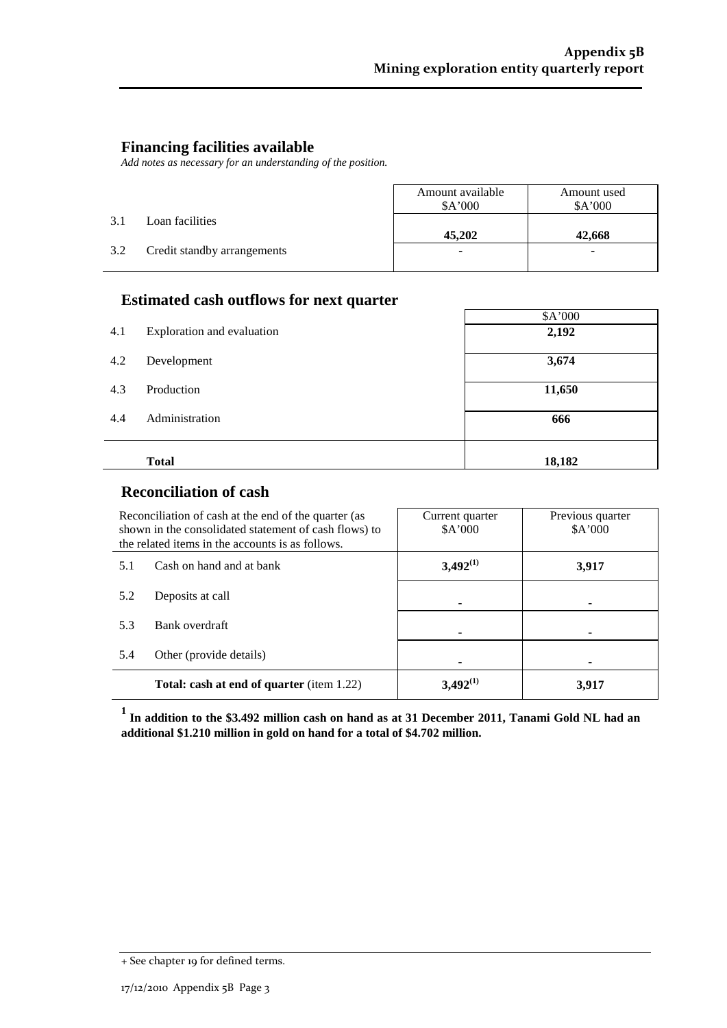J,

#### **Financing facilities available**

*Add notes as necessary for an understanding of the position.*

|     |                             | Amount available<br>A'000 | Amount used<br>A'000 |
|-----|-----------------------------|---------------------------|----------------------|
| 3.1 | Loan facilities             | 45,202                    | 42,668               |
| 3.2 | Credit standby arrangements | ۰                         | ۰                    |

#### **Estimated cash outflows for next quarter**

|     |                            | \$A'000 |
|-----|----------------------------|---------|
| 4.1 | Exploration and evaluation | 2,192   |
| 4.2 | Development                | 3,674   |
| 4.3 | Production                 | 11,650  |
| 4.4 | Administration             | 666     |
|     | <b>Total</b>               | 18,182  |

#### **Reconciliation of cash**

| Reconciliation of cash at the end of the quarter (as<br>shown in the consolidated statement of cash flows) to<br>the related items in the accounts is as follows. |  | Current quarter<br>A'000 | Previous quarter<br>\$A'000 |
|-------------------------------------------------------------------------------------------------------------------------------------------------------------------|--|--------------------------|-----------------------------|
| Cash on hand and at bank<br>5.1                                                                                                                                   |  | $3,492^{(1)}$            | 3,917                       |
| 5.2<br>Deposits at call                                                                                                                                           |  |                          |                             |
| 5.3<br>Bank overdraft                                                                                                                                             |  |                          |                             |
| 5.4<br>Other (provide details)                                                                                                                                    |  |                          |                             |
| <b>Total: cash at end of quarter</b> (item 1.22)                                                                                                                  |  | $3,492^{(1)}$            | 3.917                       |

**<sup>1</sup> In addition to the \$3.492 million cash on hand as at 31 December 2011, Tanami Gold NL had an additional \$1.210 million in gold on hand for a total of \$4.702 million.**

<sup>+</sup> See chapter 19 for defined terms.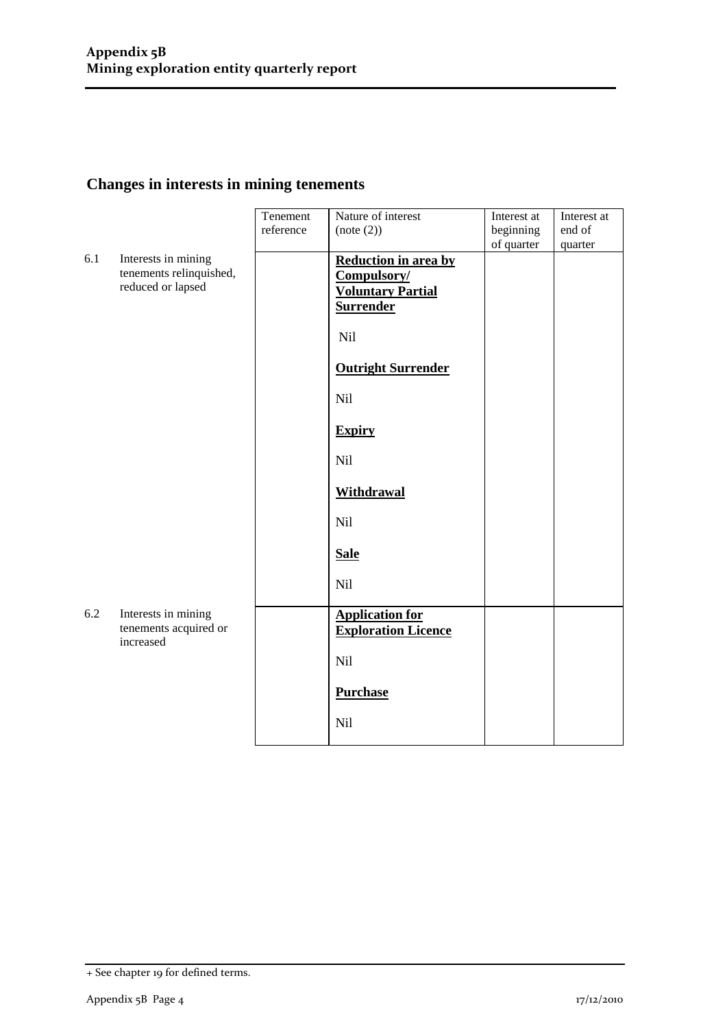## **Changes in interests in mining tenements**

|     |                                                                     | Tenement<br>reference | Nature of interest<br>(note (2))                                                    | Interest at<br>beginning<br>of quarter | Interest at<br>end of<br>quarter |
|-----|---------------------------------------------------------------------|-----------------------|-------------------------------------------------------------------------------------|----------------------------------------|----------------------------------|
| 6.1 | Interests in mining<br>tenements relinquished,<br>reduced or lapsed |                       | Reduction in area by<br>Compulsory/<br><b>Voluntary Partial</b><br><b>Surrender</b> |                                        |                                  |
|     |                                                                     |                       | Nil                                                                                 |                                        |                                  |
|     |                                                                     |                       | <b>Outright Surrender</b>                                                           |                                        |                                  |
|     |                                                                     |                       | Nil                                                                                 |                                        |                                  |
|     |                                                                     |                       | <b>Expiry</b>                                                                       |                                        |                                  |
|     |                                                                     |                       | <b>Nil</b>                                                                          |                                        |                                  |
|     |                                                                     |                       | <b>Withdrawal</b>                                                                   |                                        |                                  |
|     |                                                                     |                       | Nil                                                                                 |                                        |                                  |
|     |                                                                     |                       | <b>Sale</b>                                                                         |                                        |                                  |
|     |                                                                     |                       | Nil                                                                                 |                                        |                                  |
| 6.2 | Interests in mining<br>tenements acquired or<br>increased           |                       | <b>Application for</b><br><b>Exploration Licence</b>                                |                                        |                                  |
|     |                                                                     |                       | Nil                                                                                 |                                        |                                  |
|     |                                                                     |                       | <b>Purchase</b>                                                                     |                                        |                                  |
|     |                                                                     |                       | Nil                                                                                 |                                        |                                  |

<sup>+</sup> See chapter 19 for defined terms.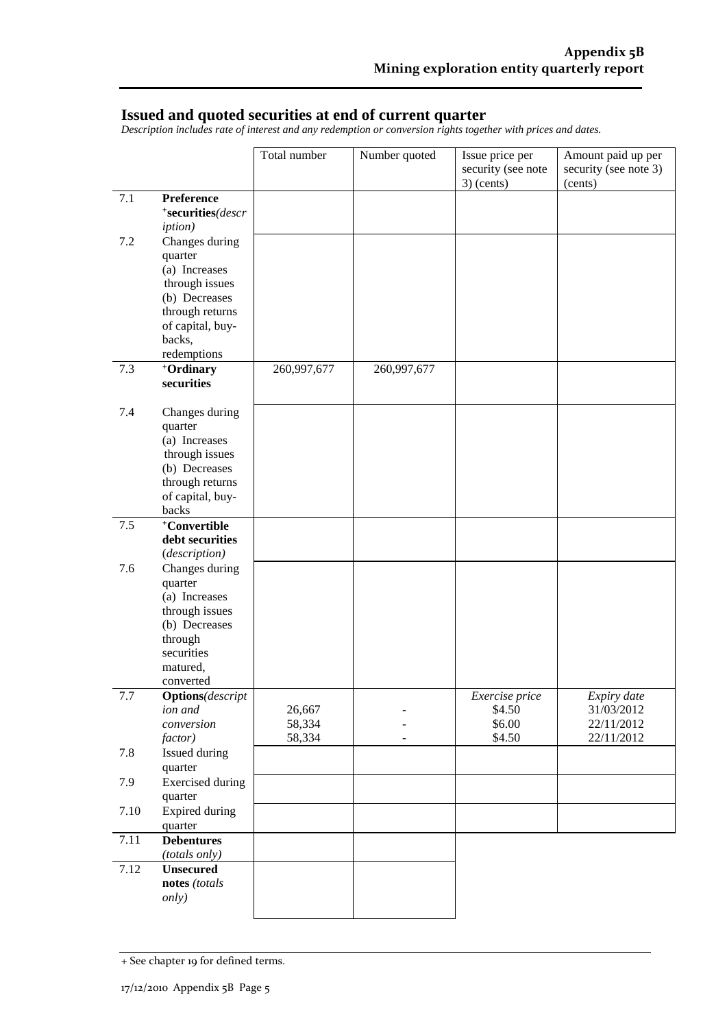#### **Issued and quoted securities at end of current quarter**

*Description includes rate of interest and any redemption or conversion rights together with prices and dates.*

|      |                                                                                                                                               | Total number               | Number quoted | Issue price per<br>security (see note<br>$3)$ (cents) | Amount paid up per<br>security (see note 3)<br>(cents) |
|------|-----------------------------------------------------------------------------------------------------------------------------------------------|----------------------------|---------------|-------------------------------------------------------|--------------------------------------------------------|
| 7.1  | Preference<br>*securities(descr<br><i>iption</i> )                                                                                            |                            |               |                                                       |                                                        |
| 7.2  | Changes during<br>quarter<br>(a) Increases<br>through issues<br>(b) Decreases<br>through returns<br>of capital, buy-<br>backs,<br>redemptions |                            |               |                                                       |                                                        |
| 7.3  | +Ordinary<br>securities                                                                                                                       | 260,997,677                | 260,997,677   |                                                       |                                                        |
| 7.4  | Changes during<br>quarter<br>(a) Increases<br>through issues<br>(b) Decreases<br>through returns<br>of capital, buy-<br>backs                 |                            |               |                                                       |                                                        |
| 7.5  | +Convertible<br>debt securities<br>(description)                                                                                              |                            |               |                                                       |                                                        |
| 7.6  | Changes during<br>quarter<br>(a) Increases<br>through issues<br>(b) Decreases<br>through<br>securities<br>matured,<br>converted               |                            |               |                                                       |                                                        |
| 7.7  | <b>Options</b> (descript<br>ion and<br>conversion<br>factor)                                                                                  | 26,667<br>58,334<br>58,334 |               | Exercise price<br>\$4.50<br>\$6.00<br>\$4.50          | Expiry date<br>31/03/2012<br>22/11/2012<br>22/11/2012  |
| 7.8  | Issued during<br>quarter                                                                                                                      |                            |               |                                                       |                                                        |
| 7.9  | <b>Exercised</b> during<br>quarter                                                                                                            |                            |               |                                                       |                                                        |
| 7.10 | <b>Expired during</b><br>quarter                                                                                                              |                            |               |                                                       |                                                        |
| 7.11 | <b>Debentures</b><br>(totals only)                                                                                                            |                            |               |                                                       |                                                        |
| 7.12 | <b>Unsecured</b><br>notes (totals<br><i>only</i> )                                                                                            |                            |               |                                                       |                                                        |

<sup>+</sup> See chapter 19 for defined terms.